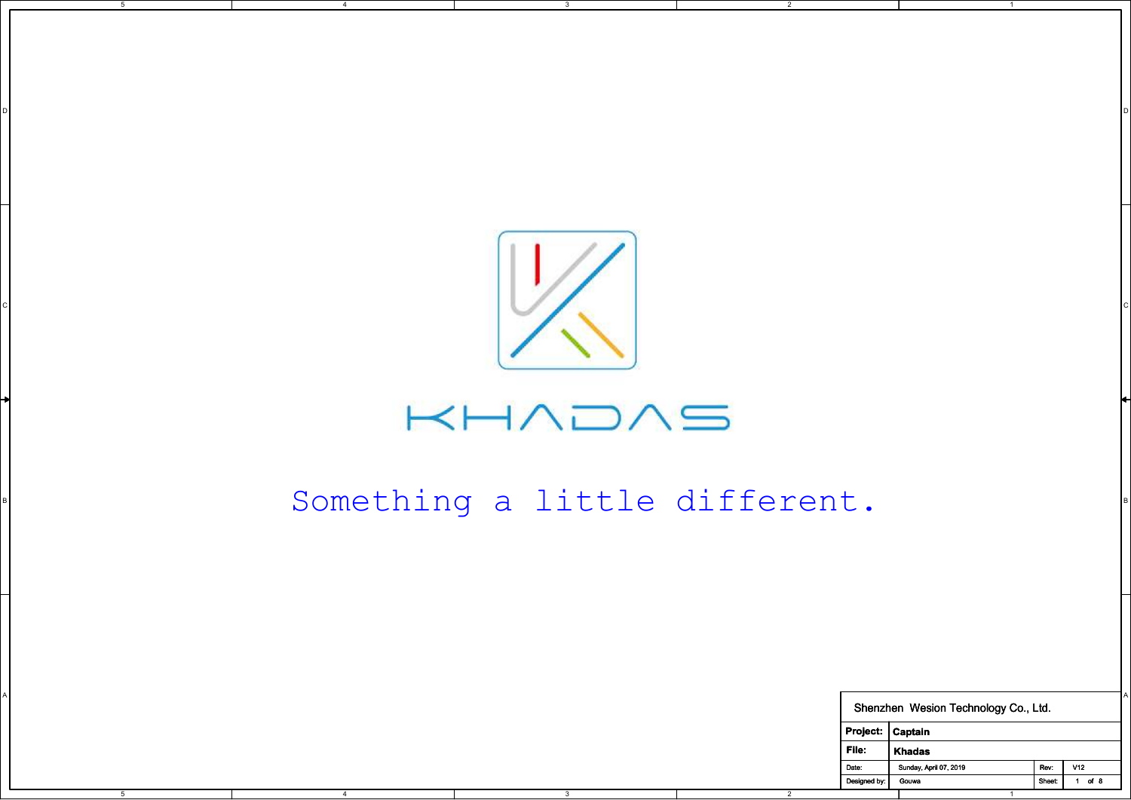

3

D I DO NOTES AND THE RESERVE TO A RESERVE THE RESERVE TO A RESERVE THE RESERVE TO A RESERVE THE RESERVE TO A R

2

5

4

## $KHADAS$

## B B B B B B B B B B B  $\mathsf{S}\cap\mathsf{M}\square\mathsf{T}\cap\mathsf{N}\cap\mathsf{S}$  and  $\mathsf{S}\square\mathsf{T}\cap\mathsf{S}$  b b  $\mathsf{B}\square\mathsf{T}\cap\mathsf{S}\cap\mathsf{S}$ Something a little different.

| Something a little different. |                 |  |  |                         |                |              |                                      |      |               |
|-------------------------------|-----------------|--|--|-------------------------|----------------|--------------|--------------------------------------|------|---------------|
|                               |                 |  |  |                         |                |              |                                      |      |               |
|                               |                 |  |  |                         |                |              |                                      |      |               |
|                               |                 |  |  |                         |                |              | Shenzhen Wesion Technology Co., Ltd. |      |               |
|                               |                 |  |  |                         |                |              | $ $ Project: $ $ Captain             |      |               |
|                               | File:<br>Khadas |  |  |                         |                |              |                                      |      |               |
|                               |                 |  |  |                         |                | Date:        | Sunday, April 07, 2019               | Rev: | VI2           |
| $-5$                          | $\overline{4}$  |  |  | $\overline{\textbf{3}}$ | $\overline{2}$ | Designed by: | Gouwa<br>$\overline{1}$              |      | Sheet: 1 of 8 |

1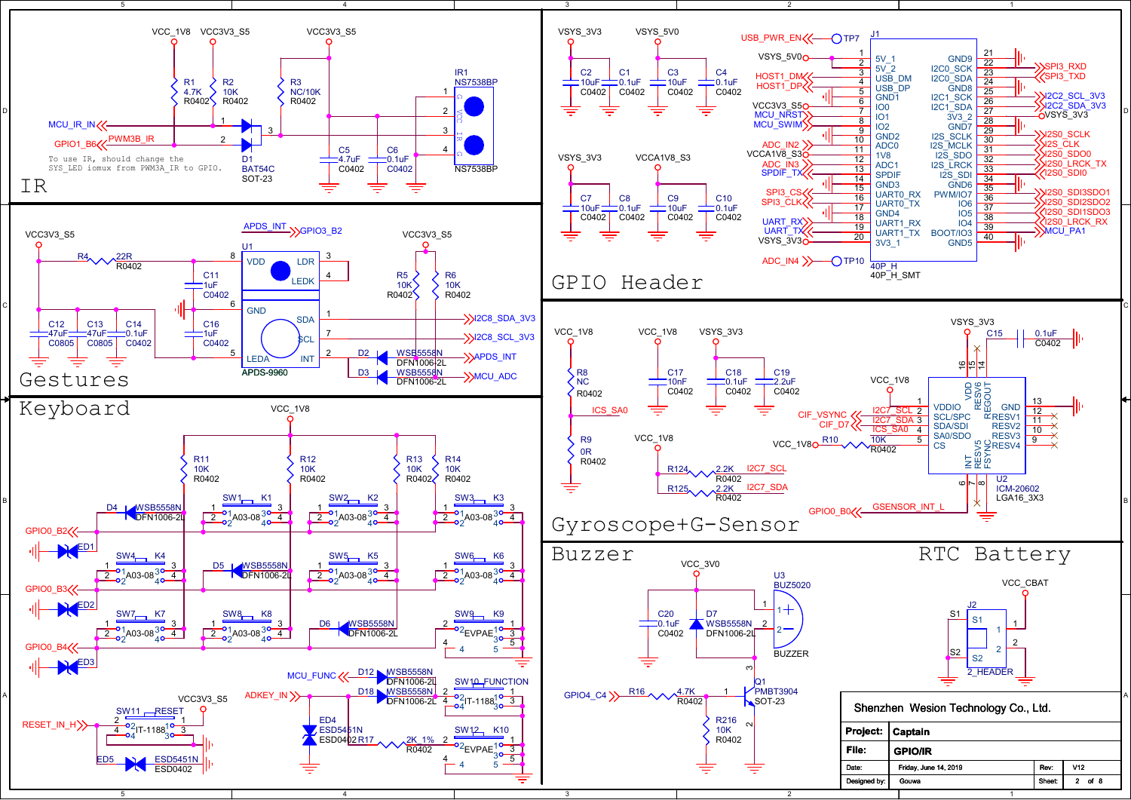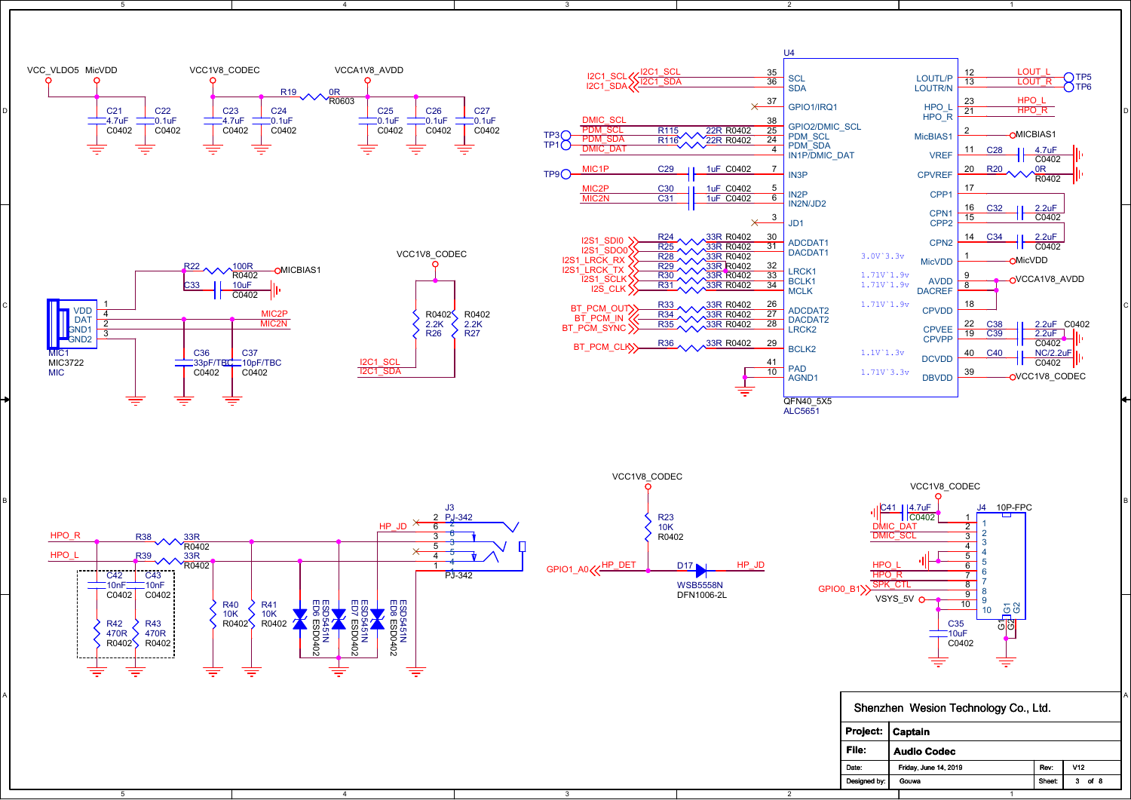

3

5

4

1 A POSTAGE A CONSTRUCTION OF A CONSTRUCTION OF A CONSTRUCTION OF A CONSTRUCTION OF A CONSTRUCTION OF A CONSTRUCTION OF A CONSTRUCTION OF A CONSTRUCTION OF A CONSTRUCTION OF A CONSTRUCTION OF A CONSTRUCTION OF A CONSTRUCTION Project: Captain File: Shenzhen Wesion Technology Co., Ltd.<br>
Project: Captain<br>
File: Audio Codec<br>
Date: Friday, June 14, 2019 Rev: V12 Audio Codec

2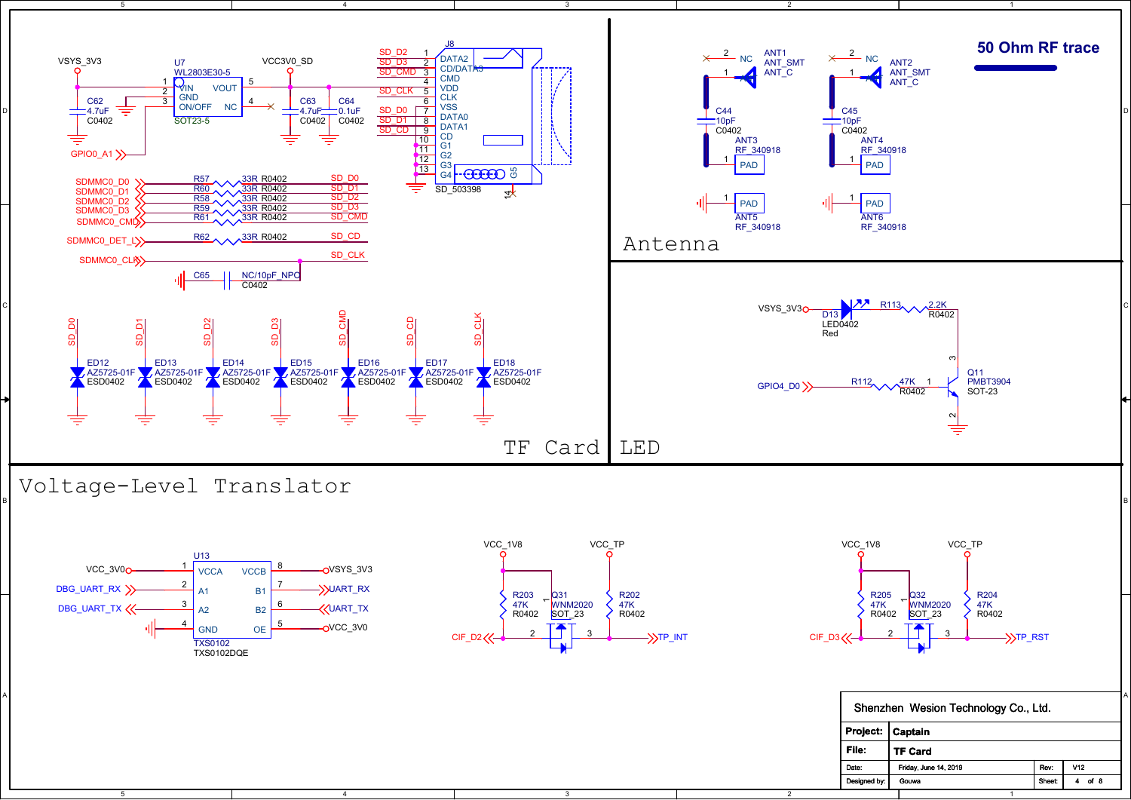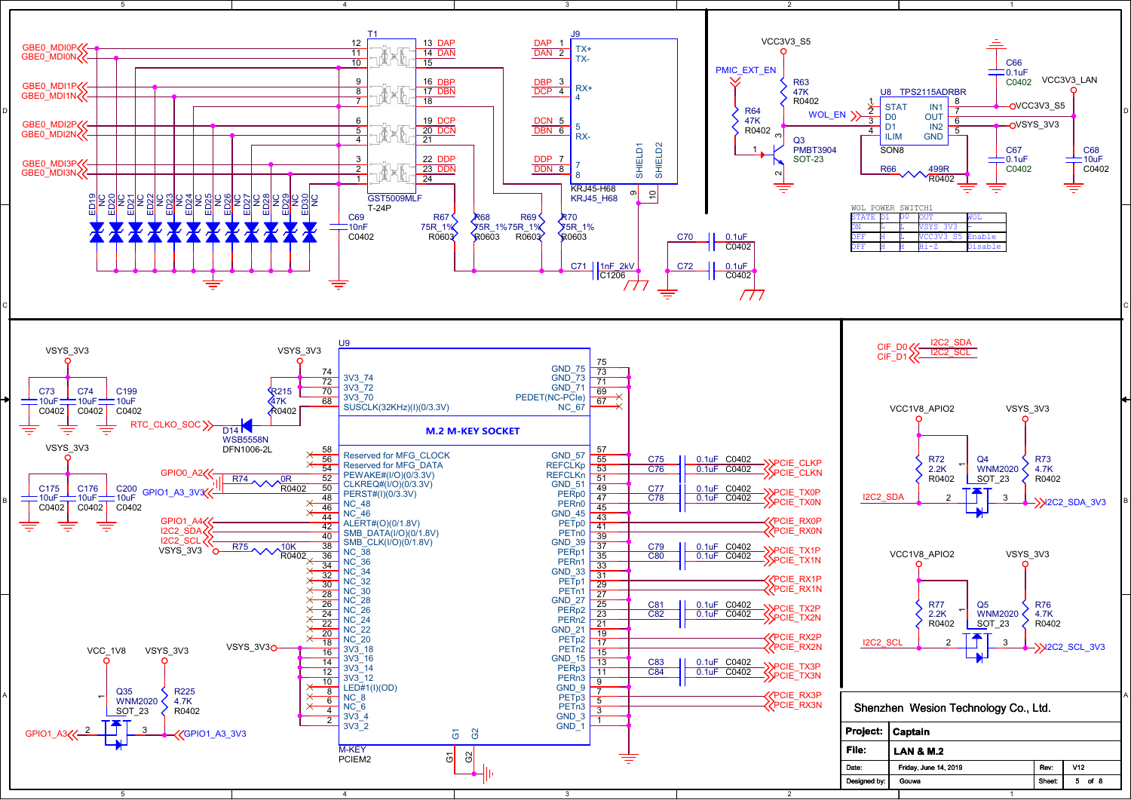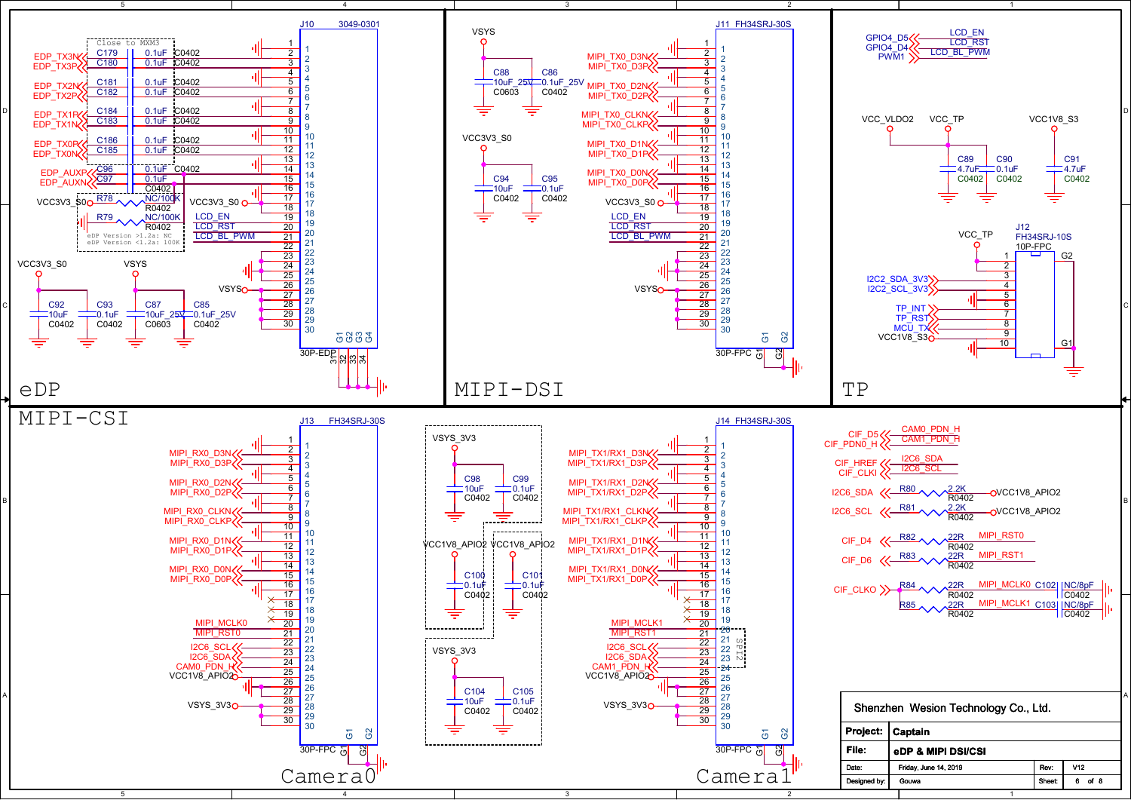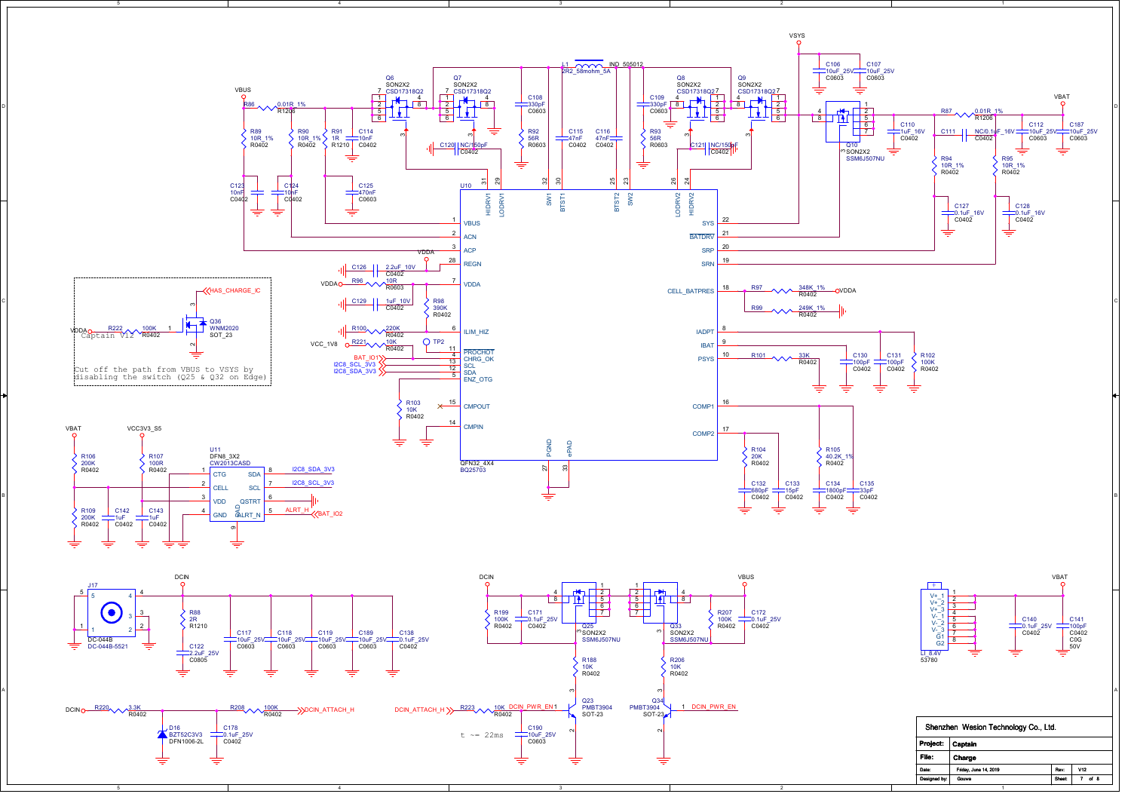